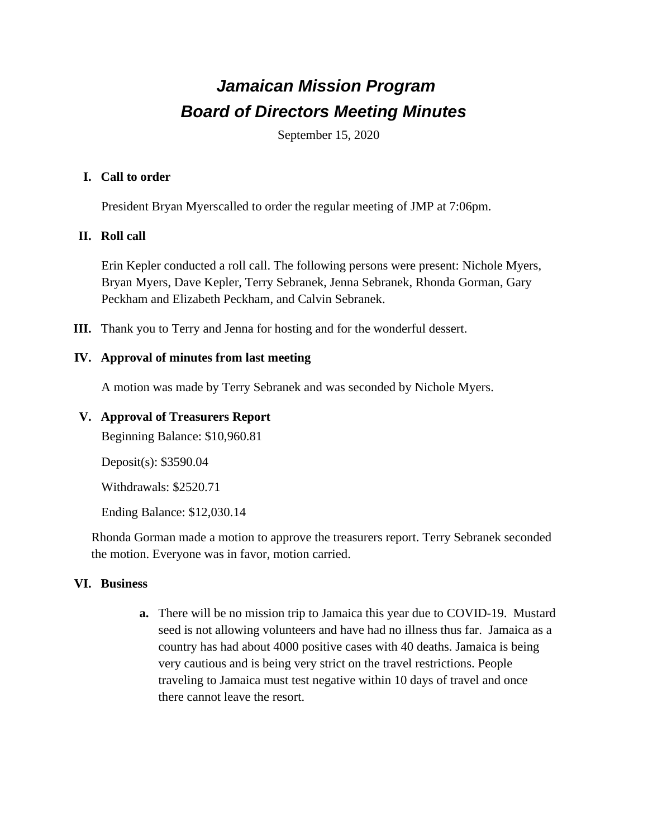# *Jamaican Mission Program Board of Directors Meeting Minutes*

September 15, 2020

#### **I. Call to order**

President Bryan Myerscalled to order the regular meeting of JMP at 7:06pm.

# **II. Roll call**

Erin Kepler conducted a roll call. The following persons were present: Nichole Myers, Bryan Myers, Dave Kepler, Terry Sebranek, Jenna Sebranek, Rhonda Gorman, Gary Peckham and Elizabeth Peckham, and Calvin Sebranek.

**III.** Thank you to Terry and Jenna for hosting and for the wonderful dessert.

#### **IV. Approval of minutes from last meeting**

A motion was made by Terry Sebranek and was seconded by Nichole Myers.

### **V. Approval of Treasurers Report**

Beginning Balance: \$10,960.81

Deposit(s): \$3590.04

Withdrawals: \$2520.71

Ending Balance: \$12,030.14

Rhonda Gorman made a motion to approve the treasurers report. Terry Sebranek seconded the motion. Everyone was in favor, motion carried.

# **VI. Business**

**a.** There will be no mission trip to Jamaica this year due to COVID-19. Mustard seed is not allowing volunteers and have had no illness thus far. Jamaica as a country has had about 4000 positive cases with 40 deaths. Jamaica is being very cautious and is being very strict on the travel restrictions. People traveling to Jamaica must test negative within 10 days of travel and once there cannot leave the resort.